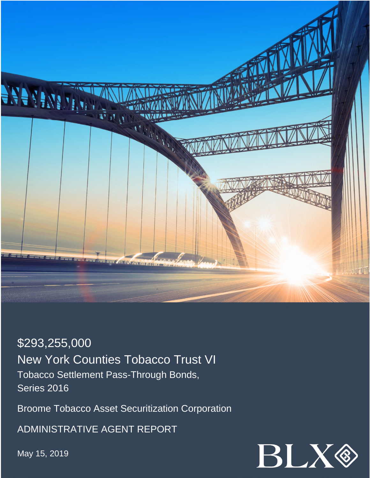

\$293,255,000 New York Counties Tobacco Trust VI Tobacco Settlement Pass-Through Bonds, Series 2016

Broome Tobacco Asset Securitization Corporation

ADMINISTRATIVE AGENT REPORT

May 15, 2019

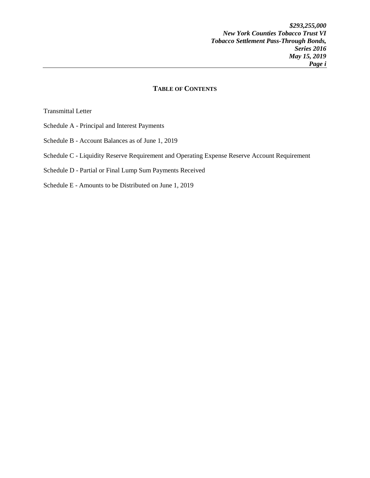## **TABLE OF CONTENTS**

Transmittal Letter

- Schedule A Principal and Interest Payments
- Schedule B Account Balances as of June 1, 2019
- Schedule C Liquidity Reserve Requirement and Operating Expense Reserve Account Requirement

Schedule D - Partial or Final Lump Sum Payments Received

Schedule E - Amounts to be Distributed on June 1, 2019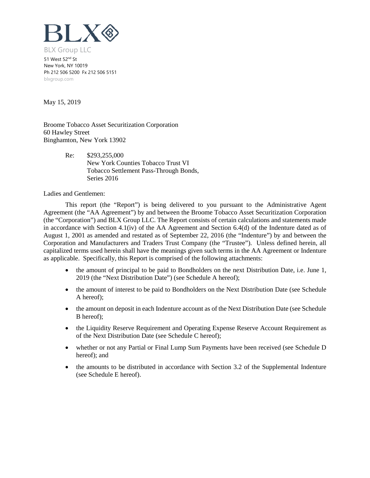

51 West 52<sup>nd</sup> St New York, NY 10019 Ph 212 506 5200 Fx 212 506 5151 blxgroup.com

May 15, 2019

Broome Tobacco Asset Securitization Corporation 60 Hawley Street Binghamton, New York 13902

> Re: \$293,255,000 New York Counties Tobacco Trust VI Tobacco Settlement Pass-Through Bonds, Series 2016

Ladies and Gentlemen:

This report (the "Report") is being delivered to you pursuant to the Administrative Agent Agreement (the "AA Agreement") by and between the Broome Tobacco Asset Securitization Corporation (the "Corporation") and BLX Group LLC. The Report consists of certain calculations and statements made in accordance with Section 4.1(iv) of the AA Agreement and Section 6.4(d) of the Indenture dated as of August 1, 2001 as amended and restated as of September 22, 2016 (the "Indenture") by and between the Corporation and Manufacturers and Traders Trust Company (the "Trustee"). Unless defined herein, all capitalized terms used herein shall have the meanings given such terms in the AA Agreement or Indenture as applicable. Specifically, this Report is comprised of the following attachments:

- the amount of principal to be paid to Bondholders on the next Distribution Date, i.e. June 1, 2019 (the "Next Distribution Date") (see Schedule A hereof);
- the amount of interest to be paid to Bondholders on the Next Distribution Date (see Schedule A hereof);
- the amount on deposit in each Indenture account as of the Next Distribution Date (see Schedule B hereof);
- the Liquidity Reserve Requirement and Operating Expense Reserve Account Requirement as of the Next Distribution Date (see Schedule C hereof);
- whether or not any Partial or Final Lump Sum Payments have been received (see Schedule D hereof); and
- the amounts to be distributed in accordance with Section 3.2 of the Supplemental Indenture (see Schedule E hereof).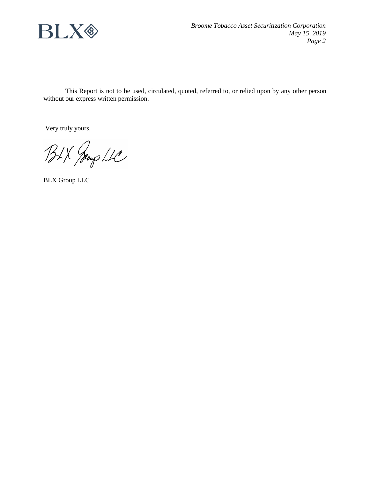

This Report is not to be used, circulated, quoted, referred to, or relied upon by any other person without our express written permission.

Very truly yours,

BLX Jeoup LLC

BLX Group LLC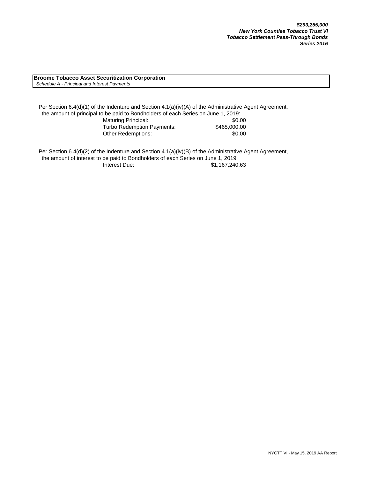**Broome Tobacco Asset Securitization Corporation**  *Schedule A - Principal and Interest Payments*

Per Section 6.4(d)(1) of the Indenture and Section 4.1(a)(iv)(A) of the Administrative Agent Agreement, the amount of principal to be paid to Bondholders of each Series on June 1, 2019: Maturing Principal: \$0.00 Turbo Redemption Payments: \$465,000.00 Other Redemptions:  $$0.00$ 

Per Section 6.4(d)(2) of the Indenture and Section 4.1(a)(iv)(B) of the Administrative Agent Agreement, the amount of interest to be paid to Bondholders of each Series on June 1, 2019: Interest Due: \$1,167,240.63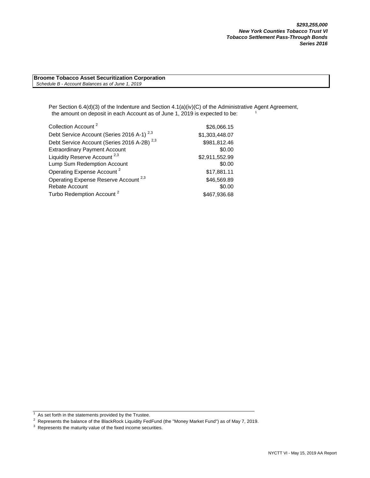**Broome Tobacco Asset Securitization Corporation**  *Schedule B - Account Balances as of June 1, 2019*

> Per Section 6.4(d)(3) of the Indenture and Section 4.1(a)(iv)(C) of the Administrative Agent Agreement, the amount on deposit in each Account as of June 1, 2019 is expected to be:

| Collection Account <sup>2</sup>                        | \$26,066.15    |
|--------------------------------------------------------|----------------|
| Debt Service Account (Series 2016 A-1) <sup>2,3</sup>  | \$1,303,448.07 |
| Debt Service Account (Series 2016 A-2B) <sup>2,3</sup> | \$981,812.46   |
| <b>Extraordinary Payment Account</b>                   | \$0.00         |
| Liquidity Reserve Account <sup>2,3</sup>               | \$2,911,552.99 |
| Lump Sum Redemption Account                            | \$0.00         |
| Operating Expense Account <sup>2</sup>                 | \$17,881.11    |
| Operating Expense Reserve Account <sup>2,3</sup>       | \$46,569.89    |
| <b>Rebate Account</b>                                  | \$0.00         |
| Turbo Redemption Account <sup>2</sup>                  | \$467,936.68   |

 $1$  As set forth in the statements provided by the Trustee.

As secretaria the statements provided by the Trustee.<br><sup>2</sup> Represents the balance of the BlackRock Liquidity FedFund (the "Money Market Fund") as of May 7, 2019.

 $3$  Represents the maturity value of the fixed income securities.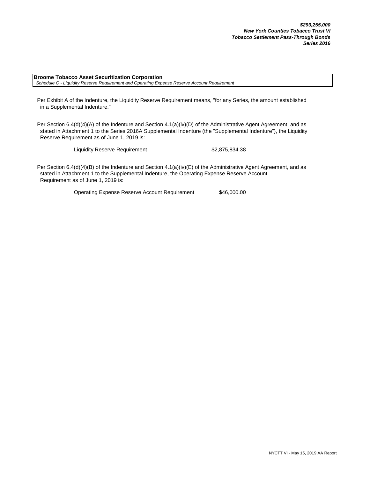**Broome Tobacco Asset Securitization Corporation**  *Schedule C - Liquidity Reserve Requirement and Operating Expense Reserve Account Requirement*

Per Exhibit A of the Indenture, the Liquidity Reserve Requirement means, "for any Series, the amount established in a Supplemental Indenture."

Per Section 6.4(d)(4)(A) of the Indenture and Section 4.1(a)(iv)(D) of the Administrative Agent Agreement, and as stated in Attachment 1 to the Series 2016A Supplemental Indenture (the "Supplemental Indenture"), the Liquidity Reserve Requirement as of June 1, 2019 is:

Liquidity Reserve Requirement \$2,875,834.38

Per Section 6.4(d)(4)(B) of the Indenture and Section 4.1(a)(iv)(E) of the Administrative Agent Agreement, and as stated in Attachment 1 to the Supplemental Indenture, the Operating Expense Reserve Account Requirement as of June 1, 2019 is:

Operating Expense Reserve Account Requirement \$46,000.00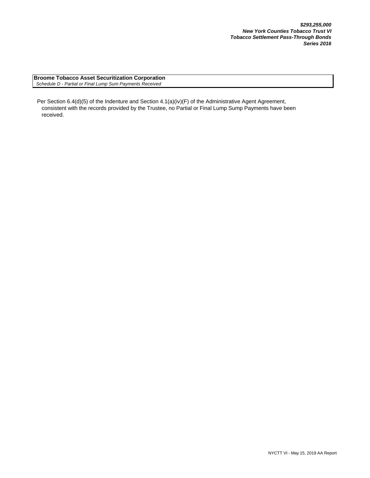**Broome Tobacco Asset Securitization Corporation**  *Schedule D - Partial or Final Lump Sum Payments Received*

Per Section 6.4(d)(5) of the Indenture and Section 4.1(a)(iv)(F) of the Administrative Agent Agreement, consistent with the records provided by the Trustee, no Partial or Final Lump Sump Payments have been received.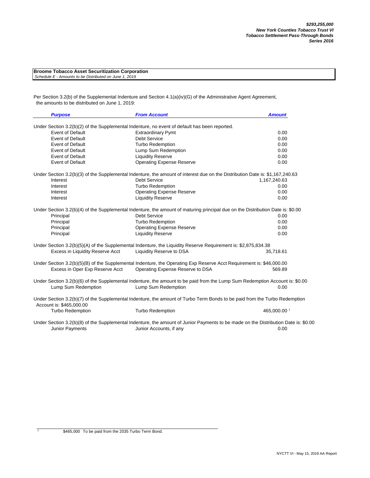| <b>Broome Tobacco Asset Securitization Corporation</b> |
|--------------------------------------------------------|
| Schedule E - Amounts to be Distributed on June 1, 2019 |

Per Section 3.2(b) of the Supplemental Indenture and Section 4.1(a)(iv)(G) of the Administrative Agent Agreement, the amounts to be distributed on June 1, 2019:

| <b>Purpose</b>                   | <b>From Account</b>                                                                                                                                            | <b>Amount</b> |
|----------------------------------|----------------------------------------------------------------------------------------------------------------------------------------------------------------|---------------|
|                                  | Under Section 3.2(b)(2) of the Supplemental Indenture, no event of default has been reported.                                                                  |               |
| <b>Event of Default</b>          | <b>Extraordinary Pymt</b>                                                                                                                                      | 0.00          |
| <b>Event of Default</b>          | <b>Debt Service</b>                                                                                                                                            | 0.00          |
| <b>Event of Default</b>          | <b>Turbo Redemption</b>                                                                                                                                        | 0.00          |
| <b>Event of Default</b>          | Lump Sum Redemption                                                                                                                                            | 0.00          |
| <b>Event of Default</b>          | <b>Liquidity Reserve</b>                                                                                                                                       | 0.00          |
| <b>Event of Default</b>          | <b>Operating Expense Reserve</b>                                                                                                                               | 0.00          |
|                                  | Under Section 3.2(b)(3) of the Supplemental Indenture, the amount of interest due on the Distribution Date is: \$1,167,240.63                                  |               |
| Interest                         | Debt Service                                                                                                                                                   | 1,167,240.63  |
| Interest                         | Turbo Redemption                                                                                                                                               | 0.00          |
| Interest                         | <b>Operating Expense Reserve</b>                                                                                                                               | 0.00          |
| Interest                         | <b>Liquidity Reserve</b>                                                                                                                                       | 0.00          |
|                                  | Under Section 3.2(b)(4) of the Supplemental Indenture, the amount of maturing principal due on the Distribution Date is: \$0.00                                |               |
| Principal                        | Debt Service                                                                                                                                                   | 0.00          |
| Principal                        | <b>Turbo Redemption</b>                                                                                                                                        | 0.00          |
| Principal                        | <b>Operating Expense Reserve</b>                                                                                                                               | 0.00          |
| Principal                        | <b>Liquidity Reserve</b>                                                                                                                                       | 0.00          |
|                                  | Under Section 3.2(b)(5)(A) of the Supplemental Indenture, the Liquidity Reserve Requirement is: \$2,875,834.38                                                 |               |
| Excess in Liquidity Reserve Acct | Liquidity Reserve to DSA                                                                                                                                       | 35,718.61     |
|                                  | Under Section 3.2(b)(5)(B) of the Supplemental Indenture, the Operating Exp Reserve Acct Requirement is: \$46,000.00                                           |               |
| Excess in Oper Exp Reserve Acct  | Operating Expense Reserve to DSA                                                                                                                               | 569.89        |
|                                  | Under Section 3.2(b)(6) of the Supplemental Indenture, the amount to be paid from the Lump Sum Redemption Account is: \$0.00                                   |               |
| Lump Sum Redemption              | Lump Sum Redemption                                                                                                                                            | 0.00          |
| Account is: \$465,000.00         | Under Section 3.2(b)(7) of the Supplemental Indenture, the amount of Turbo Term Bonds to be paid from the Turbo Redemption                                     |               |
| <b>Turbo Redemption</b>          | <b>Turbo Redemption</b>                                                                                                                                        | 465,000.00 1  |
| <b>Junior Payments</b>           | Under Section 3.2(b)(8) of the Supplemental Indenture, the amount of Junior Payments to be made on the Distribution Date is: \$0.00<br>Junior Accounts, if any | 0.00          |

1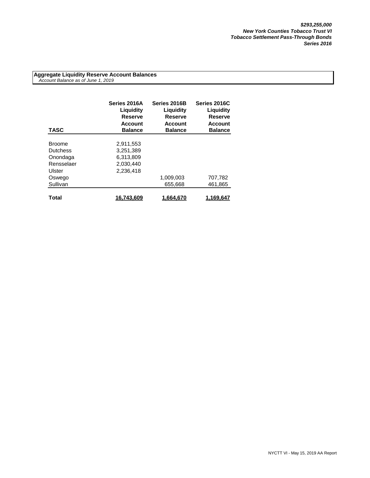**Aggregate Liquidity Reserve Account Balances**  *Account Balance as of June 1, 2019*

| <b>TASC</b>     | Series 2016A<br>Liguidity<br>Reserve<br><b>Account</b><br><b>Balance</b> | Series 2016B<br>Liquidity<br><b>Reserve</b><br><b>Account</b><br><b>Balance</b> | Series 2016C<br>Liquidity<br><b>Reserve</b><br><b>Account</b><br><b>Balance</b> |
|-----------------|--------------------------------------------------------------------------|---------------------------------------------------------------------------------|---------------------------------------------------------------------------------|
|                 |                                                                          |                                                                                 |                                                                                 |
| <b>Broome</b>   | 2,911,553                                                                |                                                                                 |                                                                                 |
| <b>Dutchess</b> | 3,251,389                                                                |                                                                                 |                                                                                 |
| Onondaga        | 6.313.809                                                                |                                                                                 |                                                                                 |
| Rensselaer      | 2,030,440                                                                |                                                                                 |                                                                                 |
| Ulster          | 2.236.418                                                                |                                                                                 |                                                                                 |
| Oswego          |                                                                          | 1,009,003                                                                       | 707,782                                                                         |
| Sullivan        |                                                                          | 655,668                                                                         | 461,865                                                                         |
| Total           | 16,743,609                                                               | 1,664,670                                                                       | 1,169,647                                                                       |